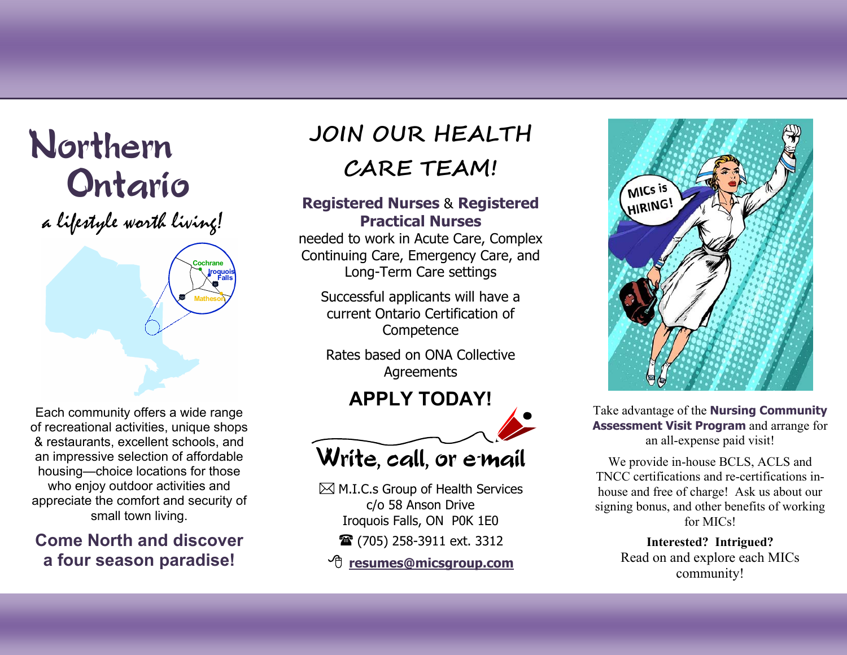# Northern Ontario

a lifestyle worth living!



Each community offers a wide range of recreational activities, unique shops & restaurants, excellent schools, and an impressive selection of affordable housing—choice locations for those who enjoy outdoor activities and appreciate the comfort and security of small town living.

# **Come North and discover a four season paradise!**

# **JOIN OUR HEALTH CARE TEAM!**

#### **Registered Nurses**  & **Registered Practical Nurses**

needed to work in Acute Care, Complex Continuing Care, Emergency Care, and Long-Term Care settings

Successful applicants will have a current Ontario Certification of **Competence** 

Rates based on ONA Collective Agreements

# **APPLY TODAY!**



Write, call, or e-mail

 $\boxtimes$  M.I.C.s Group of Health Services c/o 58 Anson Drive Iroquois Falls, ON P0K 1E0 **■** (705) 258-3911 ext. 3312

√ලි **resumes@micsgroup.com**



Take advantage of the **Nursing Community Assessment Visit Program** and arrange for an all-expense paid visit!

We provide in-house BCLS, ACLS and TNCC certifications and re-certifications inhouse and free of charge! Ask us about our signing bonus, and other benefits of working for MICs!

> **Interested? Intrigued?**  Read on and explore each MICs communit y!